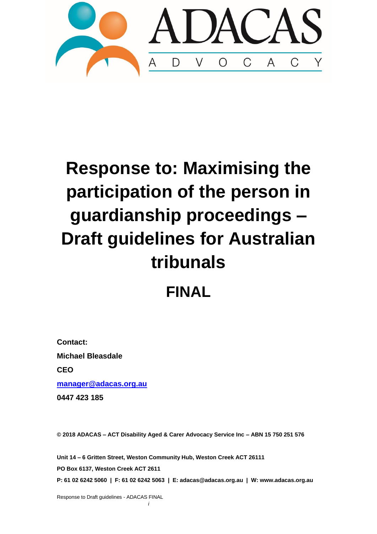

# **Response to: Maximising the participation of the person in guardianship proceedings – Draft guidelines for Australian tribunals**

## **FINAL**

**Contact: Michael Bleasdale CEO [manager@adacas.org.au](mailto:manager@adacas.org.au) 0447 423 185**

**© 2018 ADACAS – ACT Disability Aged & Carer Advocacy Service Inc – ABN 15 750 251 576**

**Unit 14 – 6 Gritten Street, Weston Community Hub, Weston Creek ACT 26111 PO Box 6137, Weston Creek ACT 2611 P: 61 02 6242 5060 | F: 61 02 6242 5063 | E: adacas@adacas.org.au | W: www.adacas.org.au**

Response to Draft guidelines - ADACAS FINAL

*i*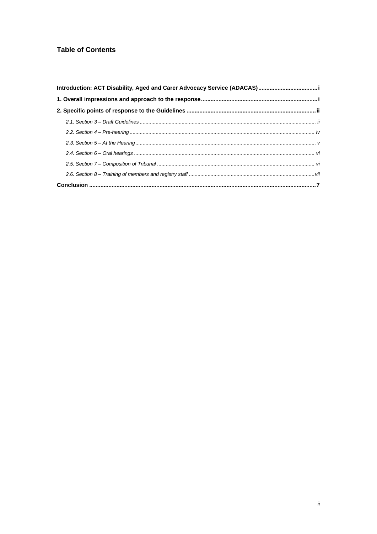#### **Table of Contents**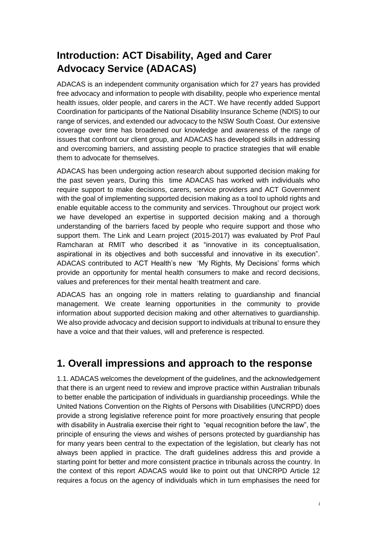## <span id="page-2-0"></span>**Introduction: ACT Disability, Aged and Carer Advocacy Service (ADACAS)**

ADACAS is an independent community organisation which for 27 years has provided free advocacy and information to people with disability, people who experience mental health issues, older people, and carers in the ACT. We have recently added Support Coordination for participants of the National Disability Insurance Scheme (NDIS) to our range of services, and extended our advocacy to the NSW South Coast. Our extensive coverage over time has broadened our knowledge and awareness of the range of issues that confront our client group, and ADACAS has developed skills in addressing and overcoming barriers, and assisting people to practice strategies that will enable them to advocate for themselves.

ADACAS has been undergoing action research about supported decision making for the past seven years, During this time ADACAS has worked with individuals who require support to make decisions, carers, service providers and ACT Government with the goal of implementing supported decision making as a tool to uphold rights and enable equitable access to the community and services. Throughout our project work we have developed an expertise in supported decision making and a thorough understanding of the barriers faced by people who require support and those who support them. The Link and Learn project (2015-2017) was evaluated by Prof Paul Ramcharan at RMIT who described it as "innovative in its conceptualisation, aspirational in its objectives and both successful and innovative in its execution". ADACAS contributed to ACT Health's new 'My Rights, My Decisions' forms which provide an opportunity for mental health consumers to make and record decisions, values and preferences for their mental health treatment and care.

ADACAS has an ongoing role in matters relating to guardianship and financial management. We create learning opportunities in the community to provide information about supported decision making and other alternatives to guardianship. We also provide advocacy and decision support to individuals at tribunal to ensure they have a voice and that their values, will and preference is respected.

## <span id="page-2-1"></span>**1. Overall impressions and approach to the response**

1.1. ADACAS welcomes the development of the guidelines, and the acknowledgement that there is an urgent need to review and improve practice within Australian tribunals to better enable the participation of individuals in guardianship proceedings. While the United Nations Convention on the Rights of Persons with Disabilities (UNCRPD) does provide a strong legislative reference point for more proactively ensuring that people with disability in Australia exercise their right to "equal recognition before the law", the principle of ensuring the views and wishes of persons protected by guardianship has for many years been central to the expectation of the legislation, but clearly has not always been applied in practice. The draft guidelines address this and provide a starting point for better and more consistent practice in tribunals across the country. In the context of this report ADACAS would like to point out that UNCRPD Article 12 requires a focus on the agency of individuals which in turn emphasises the need for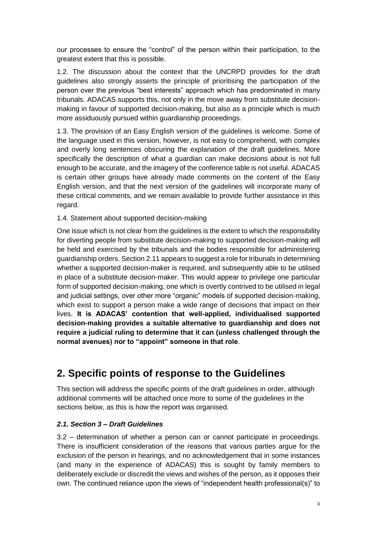our processes to ensure the "control" of the person within their participation, to the greatest extent that this is possible.

1.2. The discussion about the context that the UNCRPD provides for the draft guidelines also strongly asserts the principle of prioritising the participation of the person over the previous "best interests" approach which has predominated in many tribunals. ADACAS supports this, not only in the move away from substitute decisionmaking in favour of supported decision-making, but also as a principle which is much more assiduously pursued within guardianship proceedings.

1.3. The provision of an Easy English version of the guidelines is welcome. Some of the language used in this version, however, is not easy to comprehend, with complex and overly long sentences obscuring the explanation of the draft guidelines. More specifically the description of what a guardian can make decisions about is not full enough to be accurate, and the imagery of the conference table is not useful. ADACAS is certain other groups have already made comments on the content of the Easy English version, and that the next version of the guidelines will incorporate many of these critical comments, and we remain available to provide further assistance in this regard.

#### 1.4. Statement about supported decision-making

One issue which is not clear from the guidelines is the extent to which the responsibility for diverting people from substitute decision-making to supported decision-making will be held and exercised by the tribunals and the bodies responsible for administering guardianship orders. Section 2.11 appears to suggest a role for tribunals in determining whether a supported decision-maker is required, and subsequently able to be utilised in place of a substitute decision-maker. This would appear to privilege one particular form of supported decision-making, one which is overtly contrived to be utilised in legal and judicial settings, over other more "organic" models of supported decision-making, which exist to support a person make a wide range of decisions that impact on their lives. **It is ADACAS' contention that well-applied, individualised supported decision-making provides a suitable alternative to guardianship and does not require a judicial ruling to determine that it can (unless challenged through the normal avenues) nor to "appoint" someone in that role**.

## <span id="page-3-0"></span>**2. Specific points of response to the Guidelines**

This section will address the specific points of the draft guidelines in order, although additional comments will be attached once more to some of the guidelines in the sections below, as this is how the report was organised.

#### <span id="page-3-1"></span>*2.1. Section 3 – Draft Guidelines*

3.2 – determination of whether a person can or cannot participate in proceedings. There is insufficient consideration of the reasons that various parties argue for the exclusion of the person in hearings, and no acknowledgement that in some instances (and many in the experience of ADACAS) this is sought by family members to deliberately exclude or discredit the views and wishes of the person, as it opposes their own. The continued reliance upon the views of "independent health professional(s)" to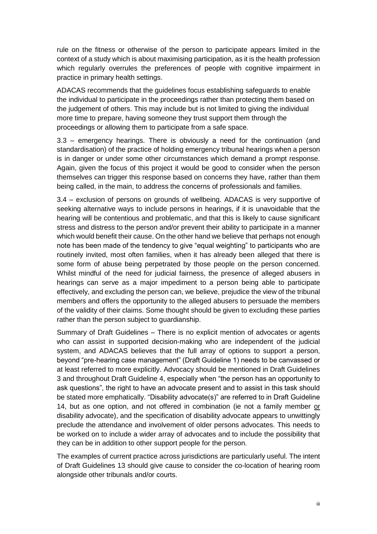rule on the fitness or otherwise of the person to participate appears limited in the context of a study which is about maximising participation, as it is the health profession which regularly overrules the preferences of people with cognitive impairment in practice in primary health settings.

ADACAS recommends that the guidelines focus establishing safeguards to enable the individual to participate in the proceedings rather than protecting them based on the judgement of others. This may include but is not limited to giving the individual more time to prepare, having someone they trust support them through the proceedings or allowing them to participate from a safe space.

3.3 – emergency hearings. There is obviously a need for the continuation (and standardisation) of the practice of holding emergency tribunal hearings when a person is in danger or under some other circumstances which demand a prompt response. Again, given the focus of this project it would be good to consider when the person themselves can trigger this response based on concerns they have, rather than them being called, in the main, to address the concerns of professionals and families.

3.4 – exclusion of persons on grounds of wellbeing. ADACAS is very supportive of seeking alternative ways to include persons in hearings, if it is unavoidable that the hearing will be contentious and problematic, and that this is likely to cause significant stress and distress to the person and/or prevent their ability to participate in a manner which would benefit their cause. On the other hand we believe that perhaps not enough note has been made of the tendency to give "equal weighting" to participants who are routinely invited, most often families, when it has already been alleged that there is some form of abuse being perpetrated by those people on the person concerned. Whilst mindful of the need for judicial fairness, the presence of alleged abusers in hearings can serve as a major impediment to a person being able to participate effectively, and excluding the person can, we believe, prejudice the view of the tribunal members and offers the opportunity to the alleged abusers to persuade the members of the validity of their claims. Some thought should be given to excluding these parties rather than the person subject to guardianship.

Summary of Draft Guidelines – There is no explicit mention of advocates or agents who can assist in supported decision-making who are independent of the judicial system, and ADACAS believes that the full array of options to support a person, beyond "pre-hearing case management" (Draft Guideline 1) needs to be canvassed or at least referred to more explicitly. Advocacy should be mentioned in Draft Guidelines 3 and throughout Draft Guideline 4, especially when "the person has an opportunity to ask questions", the right to have an advocate present and to assist in this task should be stated more emphatically. "Disability advocate(s)" are referred to in Draft Guideline 14, but as one option, and not offered in combination (ie not a family member or disability advocate), and the specification of disability advocate appears to unwittingly preclude the attendance and involvement of older persons advocates. This needs to be worked on to include a wider array of advocates and to include the possibility that they can be in addition to other support people for the person.

The examples of current practice across jurisdictions are particularly useful. The intent of Draft Guidelines 13 should give cause to consider the co-location of hearing room alongside other tribunals and/or courts.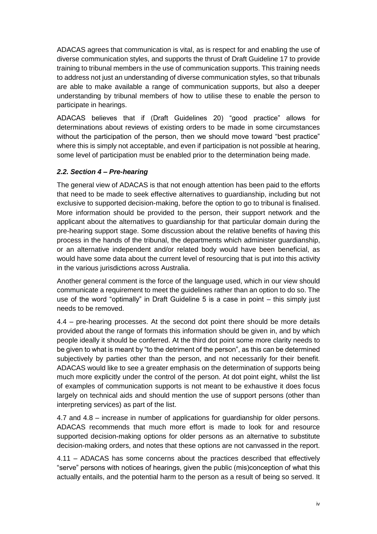ADACAS agrees that communication is vital, as is respect for and enabling the use of diverse communication styles, and supports the thrust of Draft Guideline 17 to provide training to tribunal members in the use of communication supports. This training needs to address not just an understanding of diverse communication styles, so that tribunals are able to make available a range of communication supports, but also a deeper understanding by tribunal members of how to utilise these to enable the person to participate in hearings.

ADACAS believes that if (Draft Guidelines 20) "good practice" allows for determinations about reviews of existing orders to be made in some circumstances without the participation of the person, then we should move toward "best practice" where this is simply not acceptable, and even if participation is not possible at hearing, some level of participation must be enabled prior to the determination being made.

#### <span id="page-5-0"></span>*2.2. Section 4 – Pre-hearing*

The general view of ADACAS is that not enough attention has been paid to the efforts that need to be made to seek effective alternatives to guardianship, including but not exclusive to supported decision-making, before the option to go to tribunal is finalised. More information should be provided to the person, their support network and the applicant about the alternatives to guardianship for that particular domain during the pre-hearing support stage. Some discussion about the relative benefits of having this process in the hands of the tribunal, the departments which administer guardianship, or an alternative independent and/or related body would have been beneficial, as would have some data about the current level of resourcing that is put into this activity in the various jurisdictions across Australia.

Another general comment is the force of the language used, which in our view should communicate a requirement to meet the guidelines rather than an option to do so. The use of the word "optimally" in Draft Guideline 5 is a case in point – this simply just needs to be removed.

4.4 – pre-hearing processes. At the second dot point there should be more details provided about the range of formats this information should be given in, and by which people ideally it should be conferred. At the third dot point some more clarity needs to be given to what is meant by "to the detriment of the person", as this can be determined subjectively by parties other than the person, and not necessarily for their benefit. ADACAS would like to see a greater emphasis on the determination of supports being much more explicitly under the control of the person. At dot point eight, whilst the list of examples of communication supports is not meant to be exhaustive it does focus largely on technical aids and should mention the use of support persons (other than interpreting services) as part of the list.

4.7 and 4.8 – increase in number of applications for guardianship for older persons. ADACAS recommends that much more effort is made to look for and resource supported decision-making options for older persons as an alternative to substitute decision-making orders, and notes that these options are not canvassed in the report.

4.11 – ADACAS has some concerns about the practices described that effectively "serve" persons with notices of hearings, given the public (mis)conception of what this actually entails, and the potential harm to the person as a result of being so served. It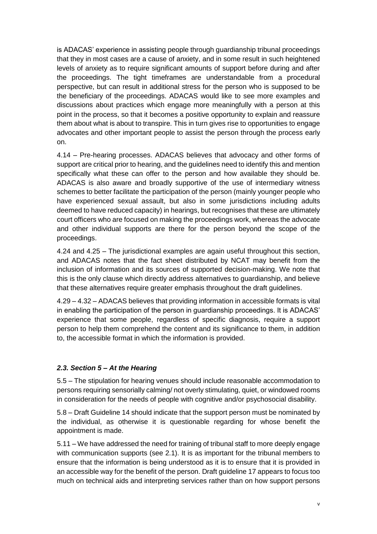is ADACAS' experience in assisting people through guardianship tribunal proceedings that they in most cases are a cause of anxiety, and in some result in such heightened levels of anxiety as to require significant amounts of support before during and after the proceedings. The tight timeframes are understandable from a procedural perspective, but can result in additional stress for the person who is supposed to be the beneficiary of the proceedings. ADACAS would like to see more examples and discussions about practices which engage more meaningfully with a person at this point in the process, so that it becomes a positive opportunity to explain and reassure them about what is about to transpire. This in turn gives rise to opportunities to engage advocates and other important people to assist the person through the process early on.

4.14 – Pre-hearing processes. ADACAS believes that advocacy and other forms of support are critical prior to hearing, and the guidelines need to identify this and mention specifically what these can offer to the person and how available they should be. ADACAS is also aware and broadly supportive of the use of intermediary witness schemes to better facilitate the participation of the person (mainly younger people who have experienced sexual assault, but also in some jurisdictions including adults deemed to have reduced capacity) in hearings, but recognises that these are ultimately court officers who are focused on making the proceedings work, whereas the advocate and other individual supports are there for the person beyond the scope of the proceedings.

4.24 and 4.25 – The jurisdictional examples are again useful throughout this section, and ADACAS notes that the fact sheet distributed by NCAT may benefit from the inclusion of information and its sources of supported decision-making. We note that this is the only clause which directly address alternatives to guardianship, and believe that these alternatives require greater emphasis throughout the draft guidelines.

4.29 – 4.32 – ADACAS believes that providing information in accessible formats is vital in enabling the participation of the person in guardianship proceedings. It is ADACAS' experience that some people, regardless of specific diagnosis, require a support person to help them comprehend the content and its significance to them, in addition to, the accessible format in which the information is provided.

#### <span id="page-6-0"></span>*2.3. Section 5 – At the Hearing*

5.5 – The stipulation for hearing venues should include reasonable accommodation to persons requiring sensorially calming/ not overly stimulating, quiet, or windowed rooms in consideration for the needs of people with cognitive and/or psychosocial disability.

5.8 – Draft Guideline 14 should indicate that the support person must be nominated by the individual, as otherwise it is questionable regarding for whose benefit the appointment is made.

5.11 – We have addressed the need for training of tribunal staff to more deeply engage with communication supports (see 2.1). It is as important for the tribunal members to ensure that the information is being understood as it is to ensure that it is provided in an accessible way for the benefit of the person. Draft guideline 17 appears to focus too much on technical aids and interpreting services rather than on how support persons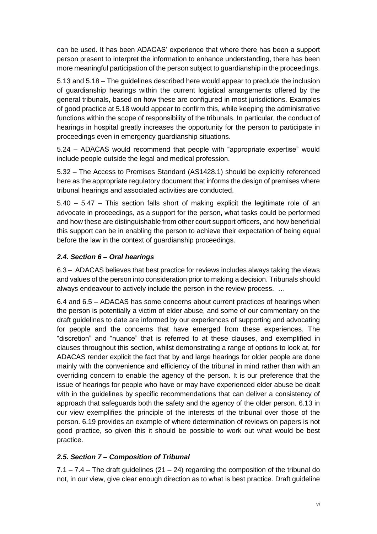can be used. It has been ADACAS' experience that where there has been a support person present to interpret the information to enhance understanding, there has been more meaningful participation of the person subject to guardianship in the proceedings.

5.13 and 5.18 – The guidelines described here would appear to preclude the inclusion of guardianship hearings within the current logistical arrangements offered by the general tribunals, based on how these are configured in most jurisdictions. Examples of good practice at 5.18 would appear to confirm this, while keeping the administrative functions within the scope of responsibility of the tribunals. In particular, the conduct of hearings in hospital greatly increases the opportunity for the person to participate in proceedings even in emergency guardianship situations.

5.24 – ADACAS would recommend that people with "appropriate expertise" would include people outside the legal and medical profession.

5.32 – The Access to Premises Standard (AS1428.1) should be explicitly referenced here as the appropriate regulatory document that informs the design of premises where tribunal hearings and associated activities are conducted.

5.40 – 5.47 – This section falls short of making explicit the legitimate role of an advocate in proceedings, as a support for the person, what tasks could be performed and how these are distinguishable from other court support officers, and how beneficial this support can be in enabling the person to achieve their expectation of being equal before the law in the context of guardianship proceedings.

#### <span id="page-7-0"></span>*2.4. Section 6 – Oral hearings*

6.3 – ADACAS believes that best practice for reviews includes always taking the views and values of the person into consideration prior to making a decision. Tribunals should always endeavour to actively include the person in the review process. …

6.4 and 6.5 – ADACAS has some concerns about current practices of hearings when the person is potentially a victim of elder abuse, and some of our commentary on the draft guidelines to date are informed by our experiences of supporting and advocating for people and the concerns that have emerged from these experiences. The "discretion" and "nuance" that is referred to at these clauses, and exemplified in clauses throughout this section, whilst demonstrating a range of options to look at, for ADACAS render explicit the fact that by and large hearings for older people are done mainly with the convenience and efficiency of the tribunal in mind rather than with an overriding concern to enable the agency of the person. It is our preference that the issue of hearings for people who have or may have experienced elder abuse be dealt with in the guidelines by specific recommendations that can deliver a consistency of approach that safeguards both the safety and the agency of the older person. 6.13 in our view exemplifies the principle of the interests of the tribunal over those of the person. 6.19 provides an example of where determination of reviews on papers is not good practice, so given this it should be possible to work out what would be best practice.

#### <span id="page-7-1"></span>*2.5. Section 7 – Composition of Tribunal*

 $7.1 - 7.4$  – The draft guidelines (21 – 24) regarding the composition of the tribunal do not, in our view, give clear enough direction as to what is best practice. Draft guideline